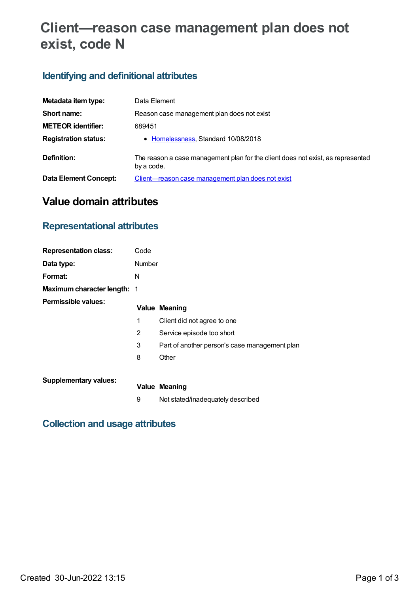# **Client—reason case management plan does not exist, code N**

# **Identifying and definitional attributes**

| Metadata item type:         | Data Element                                                                                  |
|-----------------------------|-----------------------------------------------------------------------------------------------|
| Short name:                 | Reason case management plan does not exist                                                    |
| <b>METEOR identifier:</b>   | 689451                                                                                        |
| <b>Registration status:</b> | • Homelessness, Standard 10/08/2018                                                           |
| Definition:                 | The reason a case management plan for the client does not exist, as represented<br>by a code. |
| Data Element Concept:       | Client—reason case management plan does not exist                                             |

# **Value domain attributes**

## **Representational attributes**

| <b>Representation class:</b>       | Code   |                                               |
|------------------------------------|--------|-----------------------------------------------|
| Data type:                         | Number |                                               |
| Format:                            | N      |                                               |
| <b>Maximum character length: 1</b> |        |                                               |
| Permissible values:                |        | <b>Value Meaning</b>                          |
|                                    | 1      | Client did not agree to one                   |
|                                    | 2      | Service episode too short                     |
|                                    | 3      | Part of another person's case management plan |
|                                    | 8      | Other                                         |
|                                    |        |                                               |
| <b>Supplementary values:</b>       |        | <b>Value Meaning</b>                          |
|                                    | 9      | Not stated/inadequately described             |

## **Collection and usage attributes**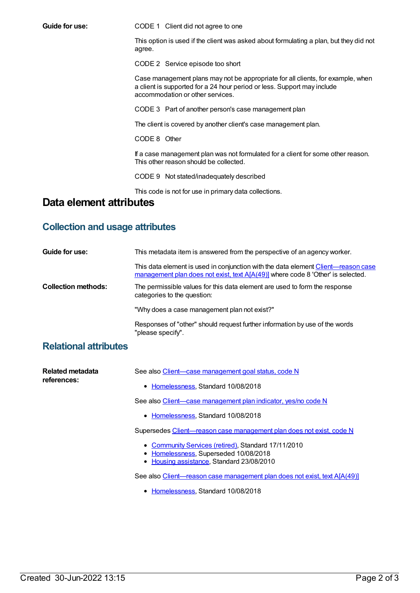**Guide for use:** CODE 1 Client did not agree to one

This option is used if the client was asked about formulating a plan, but they did not agree.

CODE 2 Service episode too short

Case management plans may not be appropriate for all clients, for example, when a client is supported for a 24 hour period or less. Support may include accommodation or other services.

CODE 3 Part of another person's case management plan

The client is covered by another client's case management plan.

CODE 8 Other

If a case management plan was not formulated for a client for some other reason. This other reason should be collected.

CODE 9 Not stated/inadequately described

This code is not for use in primary data collections.

#### **Data element attributes**

#### **Collection and usage attributes**

| Guide for use:             | This metadata item is answered from the perspective of an agency worker.                                                                                             |
|----------------------------|----------------------------------------------------------------------------------------------------------------------------------------------------------------------|
|                            | This data element is used in conjunction with the data element Client—reason case<br>management plan does not exist, text A[A(49)] where code 8 'Other' is selected. |
| <b>Collection methods:</b> | The permissible values for this data element are used to form the response<br>categories to the question:                                                            |
|                            | "Why does a case management plan not exist?"                                                                                                                         |
|                            | Responses of "other" should request further information by use of the words<br>"please specify".                                                                     |

#### **Relational attributes**

| Related metadata<br>references: | See also Client—case management goal status, code N                                                                                       |
|---------------------------------|-------------------------------------------------------------------------------------------------------------------------------------------|
|                                 | • Homelessness, Standard 10/08/2018                                                                                                       |
|                                 | See also Client—case management plan indicator, yes/no code N                                                                             |
|                                 | • Homelessness, Standard 10/08/2018                                                                                                       |
|                                 | Supersedes Client—reason case management plan does not exist, code N                                                                      |
|                                 | • Community Services (retired), Standard 17/11/2010<br>• Homelessness, Superseded 10/08/2018<br>• Housing assistance, Standard 23/08/2010 |
|                                 | See also Client-reason case management plan does not exist, text A[A(49)]                                                                 |
|                                 | • Homelessness, Standard 10/08/2018                                                                                                       |